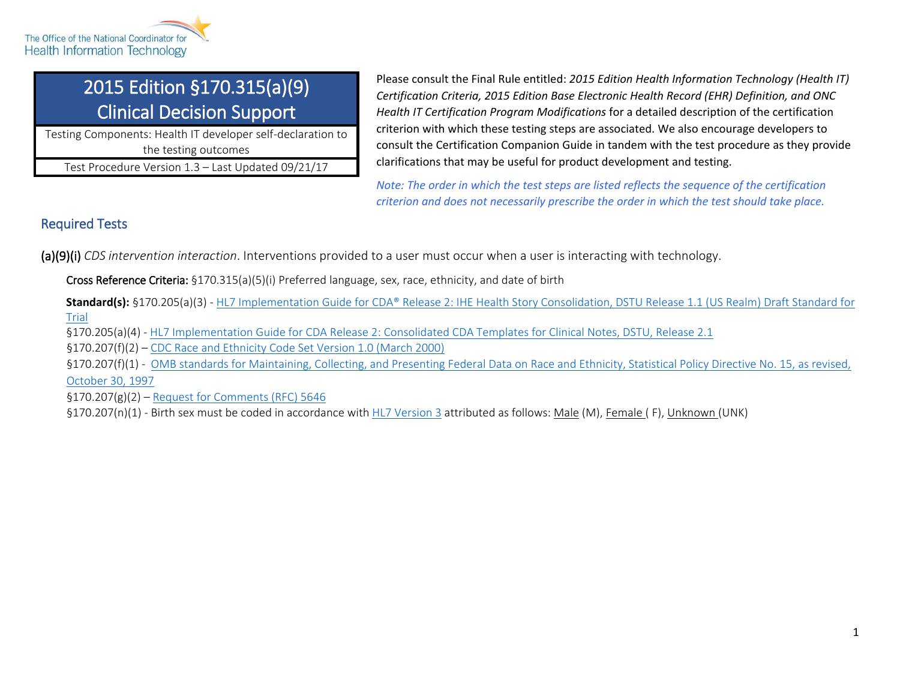

# 2015 Edition §170.315(a)(9) Clinical Decision Support

Testing Components: Health IT developer self-declaration to the testing outcomes

Test Procedure Version 1.3 – Last Updated 09/21/17

Please consult the Final Rule entitled: *2015 Edition Health Information Technology (Health IT) Certification Criteria, 2015 Edition Base Electronic Health Record (EHR) Definition, and ONC Health IT Certification Program Modifications* for a detailed description of the certification criterion with which these testing steps are associated. We also encourage developers to consult the Certification Companion Guide in tandem with the test procedure as they provide clarifications that may be useful for product development and testing.

*Note: The order in which the test steps are listed reflects the sequence of the certification criterion and does not necessarily prescribe the order in which the test should take place.*

## Required Tests

(a)(9)(i) *CDS intervention interaction*. Interventions provided to a user must occur when a user is interacting with technology.

Cross Reference Criteria: §170.315(a)(5)(i) Preferred language, sex, race, ethnicity, and date of birth

**Standard(s):** §170.205(a)(3) - [HL7 Implementation Guide for CDA® Release 2: IHE Health Story Consolidation, DSTU Release 1.1 \(US Realm\) Draft Standard for](http://www.hl7.org/implement/standards/product_brief.cfm?product_id=258)  [Trial](http://www.hl7.org/implement/standards/product_brief.cfm?product_id=258)

§170.205(a)(4) - [HL7 Implementation Guide for CDA Release 2: Consolidated CDA Templates for Clinical Notes, DSTU, Release 2.1](http://www.hl7.org/documentcenter/public/standards/dstu/CDAR2_IG_CCDA_CLINNOTES_R1_DSTUR2.1_2015AUG.zip)

§170.207(f)(2) – [CDC Race and Ethnicity Code Set Version 1.0 \(March 2000\)](https://www.cdc.gov/phin/resources/vocabulary/index.html)

§170.207(f)(1) - [OMB standards for Maintaining, Collecting, and Presenting Federal Data on Race and Ethnicity, Statistical Policy Directive No. 15, as revised,](https://obamawhitehouse.archives.gov/omb/fedreg_1997standards)  [October 30, 1997](https://obamawhitehouse.archives.gov/omb/fedreg_1997standards)

§170.207(g)(2) – [Request for Comments \(RFC\) 5646](https://tools.ietf.org/html/rfc5646)

§170.207(n)(1) - Birth sex must be coded in accordance wit[h HL7 Version 3](https://www.healthit.gov/sites/default/files/170299_f_29_hl7_v3_agender_and_nullflavor.pdf) attributed as follows: Male (M), Female (F), Unknown (UNK)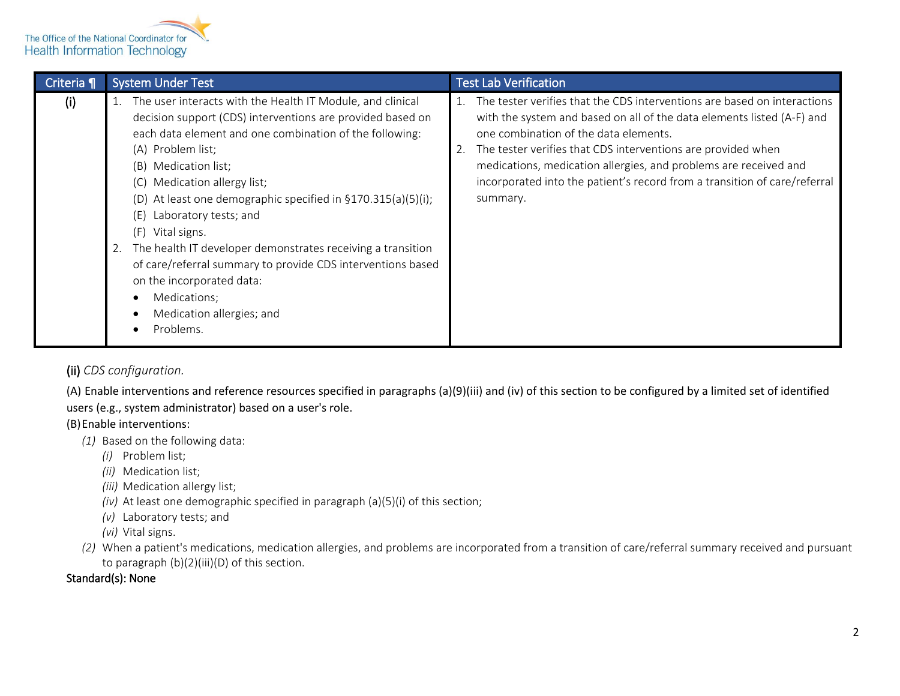

| Criteria ¶ | <b>System Under Test</b>                                                                                                                                                                                                                                                                                                                                                                                                                                                                                                                                                                                                                       | <b>Test Lab Verification</b>                                                                                                                                                                                                                                                                                                                                                                                             |
|------------|------------------------------------------------------------------------------------------------------------------------------------------------------------------------------------------------------------------------------------------------------------------------------------------------------------------------------------------------------------------------------------------------------------------------------------------------------------------------------------------------------------------------------------------------------------------------------------------------------------------------------------------------|--------------------------------------------------------------------------------------------------------------------------------------------------------------------------------------------------------------------------------------------------------------------------------------------------------------------------------------------------------------------------------------------------------------------------|
| (i)        | 1. The user interacts with the Health IT Module, and clinical<br>decision support (CDS) interventions are provided based on<br>each data element and one combination of the following:<br>Problem list;<br>(A)<br>Medication list;<br>(B)<br>Medication allergy list;<br>(C)<br>At least one demographic specified in §170.315(a)(5)(i);<br>(D)<br>Laboratory tests; and<br>(E)<br>Vital signs.<br>(F)<br>The health IT developer demonstrates receiving a transition<br>2.<br>of care/referral summary to provide CDS interventions based<br>on the incorporated data:<br>Medications;<br>$\bullet$<br>Medication allergies; and<br>Problems. | The tester verifies that the CDS interventions are based on interactions<br>with the system and based on all of the data elements listed (A-F) and<br>one combination of the data elements.<br>The tester verifies that CDS interventions are provided when<br>medications, medication allergies, and problems are received and<br>incorporated into the patient's record from a transition of care/referral<br>summary. |

### (ii) *CDS configuration.*

(A) Enable interventions and reference resources specified in paragraphs (a)(9)(iii) and (iv) of this section to be configured by a limited set of identified users (e.g., system administrator) based on a user's role.

#### (B)Enable interventions:

- *(1)* Based on the following data:
	- *(i)* Problem list;
	- *(ii)* Medication list;
	- *(iii)* Medication allergy list;
	- *(iv)* At least one demographic specified in paragraph (a)(5)(i) of this section;
	- *(v)* Laboratory tests; and
	- *(vi)* Vital signs.
- *(2)* When a patient's medications, medication allergies, and problems are incorporated from a transition of care/referral summary received and pursuant to paragraph (b)(2)(iii)(D) of this section.

#### Standard(s): None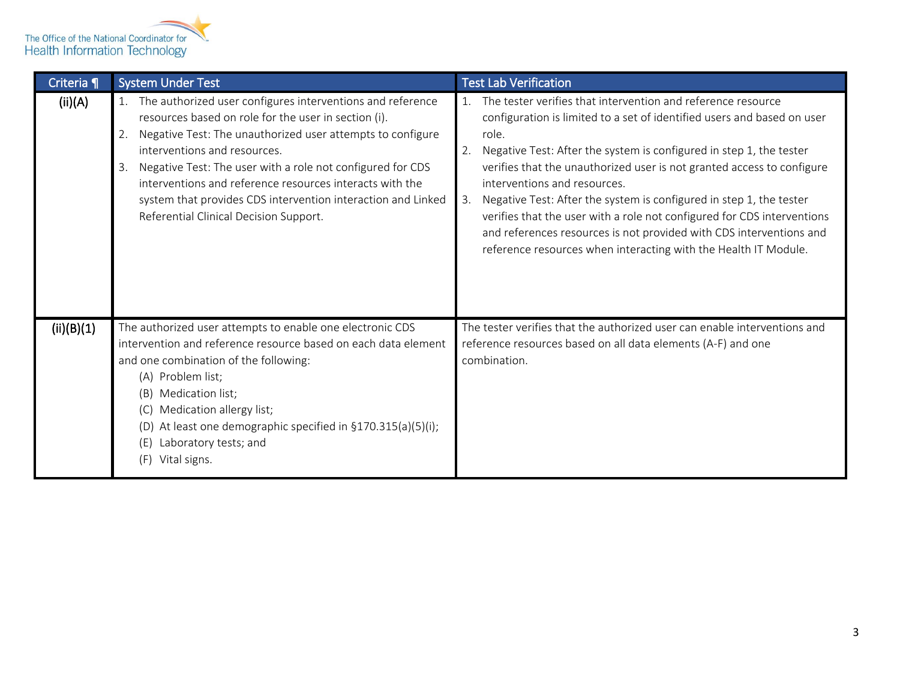

| Criteria ¶ | <b>System Under Test</b>                                                                                                                                                                                                                                                                                                                                                                                                                                         | <b>Test Lab Verification</b>                                                                                                                                                                                                                                                                                                                                                                                                                                                                                                                                                                                                           |
|------------|------------------------------------------------------------------------------------------------------------------------------------------------------------------------------------------------------------------------------------------------------------------------------------------------------------------------------------------------------------------------------------------------------------------------------------------------------------------|----------------------------------------------------------------------------------------------------------------------------------------------------------------------------------------------------------------------------------------------------------------------------------------------------------------------------------------------------------------------------------------------------------------------------------------------------------------------------------------------------------------------------------------------------------------------------------------------------------------------------------------|
| (ii)(A)    | The authorized user configures interventions and reference<br>resources based on role for the user in section (i).<br>Negative Test: The unauthorized user attempts to configure<br>2.<br>interventions and resources.<br>Negative Test: The user with a role not configured for CDS<br>3.<br>interventions and reference resources interacts with the<br>system that provides CDS intervention interaction and Linked<br>Referential Clinical Decision Support. | The tester verifies that intervention and reference resource<br>configuration is limited to a set of identified users and based on user<br>role.<br>Negative Test: After the system is configured in step 1, the tester<br>2.<br>verifies that the unauthorized user is not granted access to configure<br>interventions and resources.<br>3. Negative Test: After the system is configured in step 1, the tester<br>verifies that the user with a role not configured for CDS interventions<br>and references resources is not provided with CDS interventions and<br>reference resources when interacting with the Health IT Module. |
| (ii)(B)(1) | The authorized user attempts to enable one electronic CDS<br>intervention and reference resource based on each data element<br>and one combination of the following:<br>(A) Problem list;<br>Medication list;<br>(B)<br>Medication allergy list;<br>(C)<br>At least one demographic specified in §170.315(a)(5)(i);<br>(D)<br>Laboratory tests; and<br>(E)<br>Vital signs.<br>(F)                                                                                | The tester verifies that the authorized user can enable interventions and<br>reference resources based on all data elements (A-F) and one<br>combination.                                                                                                                                                                                                                                                                                                                                                                                                                                                                              |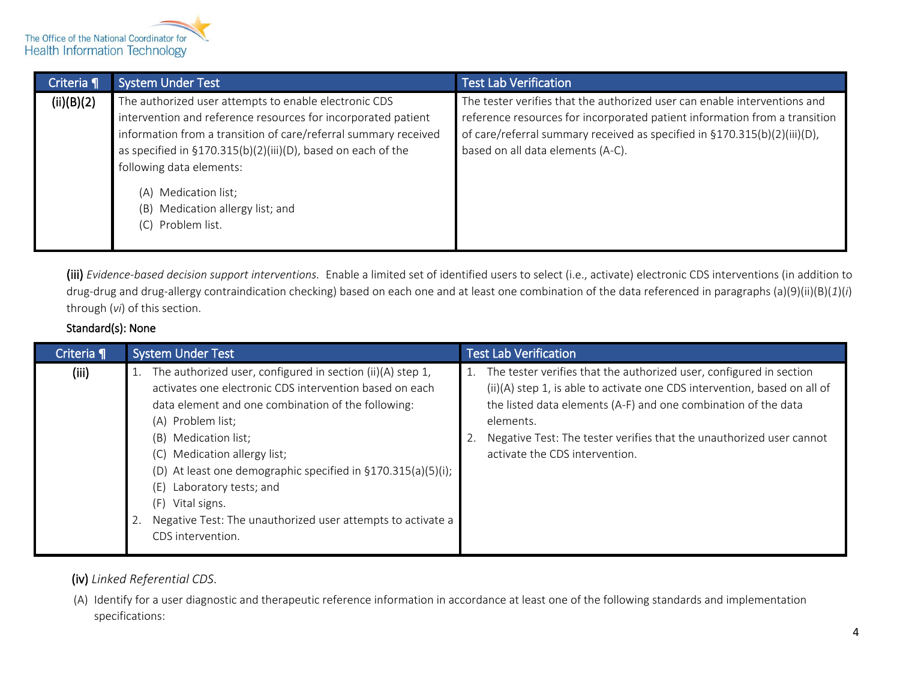

| <b>System Under Test</b>                                                                                                                                                                                                                                                                                                                                                  | <b>Test Lab Verification</b>                                                                                                                                                                                                                                              |
|---------------------------------------------------------------------------------------------------------------------------------------------------------------------------------------------------------------------------------------------------------------------------------------------------------------------------------------------------------------------------|---------------------------------------------------------------------------------------------------------------------------------------------------------------------------------------------------------------------------------------------------------------------------|
| The authorized user attempts to enable electronic CDS<br>intervention and reference resources for incorporated patient<br>information from a transition of care/referral summary received<br>as specified in §170.315(b)(2)(iii)(D), based on each of the<br>following data elements:<br>(A) Medication list;<br>Medication allergy list; and<br>(B)<br>(C) Problem list. | The tester verifies that the authorized user can enable interventions and<br>reference resources for incorporated patient information from a transition<br>of care/referral summary received as specified in §170.315(b)(2)(iii)(D),<br>based on all data elements (A-C). |
|                                                                                                                                                                                                                                                                                                                                                                           |                                                                                                                                                                                                                                                                           |

(iii) *Evidence-based decision support interventions.* Enable a limited set of identified users to select (i.e., activate) electronic CDS interventions (in addition to drug-drug and drug-allergy contraindication checking) based on each one and at least one combination of the data referenced in paragraphs (a)(9)(ii)(B)(*1*)(*i*) through (*vi*) of this section.

#### Standard(s): None

| Criteria ¶ | <b>System Under Test</b>                                                                                                                                                                                                                                                                                                                                                                                                                                                     | <b>Test Lab Verification</b>                                                                                                                                                                                                                                                                                                              |
|------------|------------------------------------------------------------------------------------------------------------------------------------------------------------------------------------------------------------------------------------------------------------------------------------------------------------------------------------------------------------------------------------------------------------------------------------------------------------------------------|-------------------------------------------------------------------------------------------------------------------------------------------------------------------------------------------------------------------------------------------------------------------------------------------------------------------------------------------|
| (iii)      | The authorized user, configured in section (ii)(A) step 1,<br>1.<br>activates one electronic CDS intervention based on each<br>data element and one combination of the following:<br>(A) Problem list;<br>(B) Medication list;<br>Medication allergy list;<br>(C)<br>(D) At least one demographic specified in §170.315(a)(5)(i);<br>Laboratory tests; and<br>(E)<br>(F)<br>Vital signs.<br>Negative Test: The unauthorized user attempts to activate a<br>CDS intervention. | The tester verifies that the authorized user, configured in section<br>(ii)(A) step 1, is able to activate one CDS intervention, based on all of<br>the listed data elements (A-F) and one combination of the data<br>elements.<br>Negative Test: The tester verifies that the unauthorized user cannot<br>activate the CDS intervention. |

#### (iv) *Linked Referential CDS*.

(A) Identify for a user diagnostic and therapeutic reference information in accordance at least one of the following standards and implementation specifications: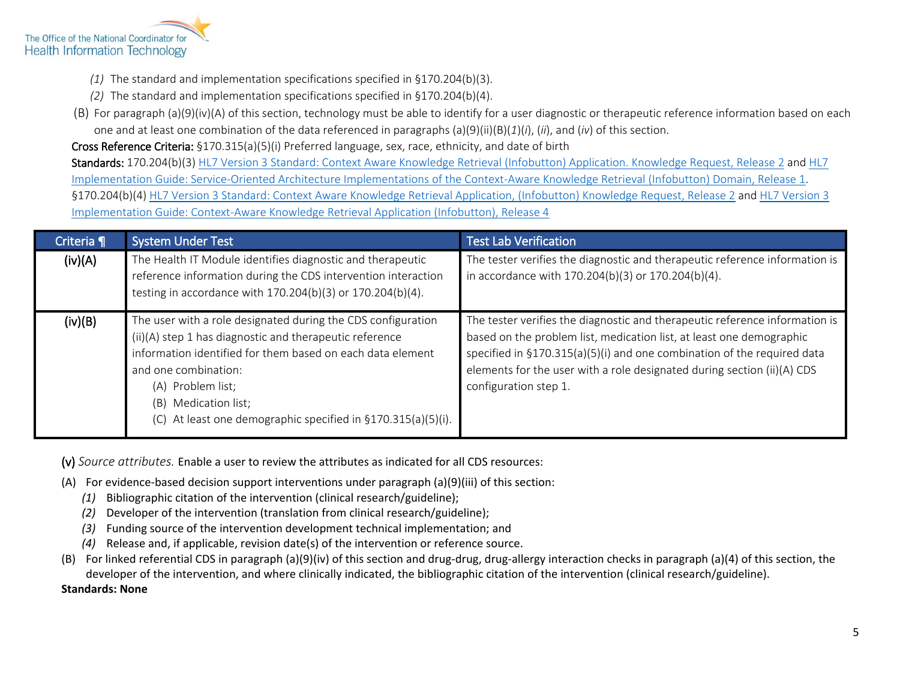

- *(1)* The standard and implementation specifications specified in §170.204(b)(3).
- *(2)* The standard and implementation specifications specified in §170.204(b)(4).
- (B) For paragraph (a)(9)(iv)(A) of this section, technology must be able to identify for a user diagnostic or therapeutic reference information based on each one and at least one combination of the data referenced in paragraphs (a)(9)(ii)(B)(*1*)(*i*), (*ii*), and (*iv*) of this section.

Cross Reference Criteria: §170.315(a)(5)(i) Preferred language, sex, race, ethnicity, and date of birth

Standards: 170.204(b)(3[\) HL7 Version 3 Standard: Context Aware Knowledge Retrieval \(Infobutton\) Application.](http://www.hl7.org/implement/standards/product_brief.cfm?product_id=208) Knowledge Request, Release 2 and HL7 [Implementation Guide: Service-Oriented Architecture Implementations of the Context-Aware Knowledge Retrieval \(Infobutton\) Domain, Release 1.](http://www.hl7.org/implement/standards/product_brief.cfm?product_id=283) §170.204(b)(4) [HL7 Version 3 Standard: Context Aware Knowledge Retrieval Application,](http://www.hl7.org/implement/standards/product_brief.cfm?product_id=208) (Infobutton) Knowledge Request, Release 2 and [HL7 Version 3](http://www.hl7.org/implement/standards/product_brief.cfm?product_id=22)  [Implementation Guide: Context-Aware Knowledge Retrieval Application \(Infobutton\), Release 4](http://www.hl7.org/implement/standards/product_brief.cfm?product_id=22)

| Criteria ¶ | <b>System Under Test</b>                                                                                                                                                                                                                                                                                                         | <b>Test Lab Verification</b>                                                                                                                                                                                                                                                                                                       |  |
|------------|----------------------------------------------------------------------------------------------------------------------------------------------------------------------------------------------------------------------------------------------------------------------------------------------------------------------------------|------------------------------------------------------------------------------------------------------------------------------------------------------------------------------------------------------------------------------------------------------------------------------------------------------------------------------------|--|
| (iv)(A)    | The Health IT Module identifies diagnostic and therapeutic<br>reference information during the CDS intervention interaction<br>testing in accordance with 170.204(b)(3) or 170.204(b)(4).                                                                                                                                        | The tester verifies the diagnostic and therapeutic reference information is<br>in accordance with 170.204(b)(3) or 170.204(b)(4).                                                                                                                                                                                                  |  |
| (iv)(B)    | The user with a role designated during the CDS configuration<br>(ii)(A) step 1 has diagnostic and therapeutic reference<br>information identified for them based on each data element<br>and one combination:<br>(A) Problem list;<br>Medication list;<br>(B)<br>At least one demographic specified in §170.315(a)(5)(i).<br>(C) | The tester verifies the diagnostic and therapeutic reference information is<br>based on the problem list, medication list, at least one demographic<br>specified in §170.315(a)(5)(i) and one combination of the required data<br>elements for the user with a role designated during section (ii)(A) CDS<br>configuration step 1. |  |

(v) *Source attributes.* Enable a user to review the attributes as indicated for all CDS resources:

- (A) For evidence-based decision support interventions under paragraph (a)(9)(iii) of this section:
	- *(1)* Bibliographic citation of the intervention (clinical research/guideline);
	- *(2)* Developer of the intervention (translation from clinical research/guideline);
	- *(3)* Funding source of the intervention development technical implementation; and
	- *(4)* Release and, if applicable, revision date(s) of the intervention or reference source.
- (B) For linked referential CDS in paragraph (a)(9)(iv) of this section and drug-drug, drug-allergy interaction checks in paragraph (a)(4) of this section, the developer of the intervention, and where clinically indicated, the bibliographic citation of the intervention (clinical research/guideline).

**Standards: None**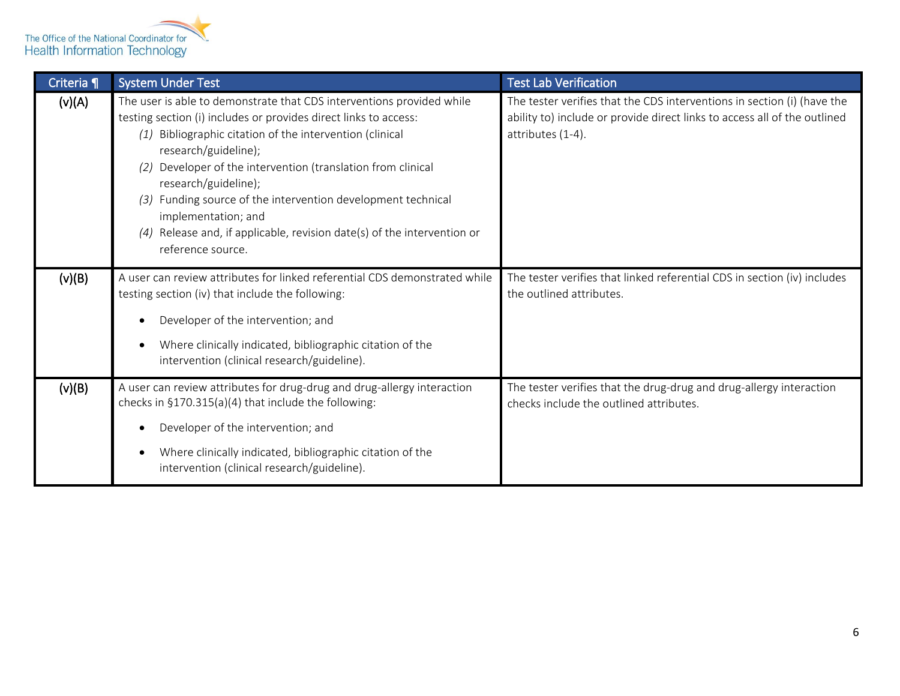

| Criteria ¶ | <b>System Under Test</b>                                                                                                                                                                                                                                                                                                                                                                                                                                                                                                 | <b>Test Lab Verification</b>                                                                                                                                              |
|------------|--------------------------------------------------------------------------------------------------------------------------------------------------------------------------------------------------------------------------------------------------------------------------------------------------------------------------------------------------------------------------------------------------------------------------------------------------------------------------------------------------------------------------|---------------------------------------------------------------------------------------------------------------------------------------------------------------------------|
| (v)(A)     | The user is able to demonstrate that CDS interventions provided while<br>testing section (i) includes or provides direct links to access:<br>Bibliographic citation of the intervention (clinical<br>(1)<br>research/guideline);<br>Developer of the intervention (translation from clinical<br>(2)<br>research/guideline);<br>Funding source of the intervention development technical<br>(3)<br>implementation; and<br>Release and, if applicable, revision date(s) of the intervention or<br>(4)<br>reference source. | The tester verifies that the CDS interventions in section (i) (have the<br>ability to) include or provide direct links to access all of the outlined<br>attributes (1-4). |
| (v)(B)     | A user can review attributes for linked referential CDS demonstrated while<br>testing section (iv) that include the following:<br>Developer of the intervention; and<br>Where clinically indicated, bibliographic citation of the<br>intervention (clinical research/guideline).                                                                                                                                                                                                                                         | The tester verifies that linked referential CDS in section (iv) includes<br>the outlined attributes.                                                                      |
| (v)(B)     | A user can review attributes for drug-drug and drug-allergy interaction<br>checks in §170.315(a)(4) that include the following:<br>Developer of the intervention; and<br>Where clinically indicated, bibliographic citation of the<br>intervention (clinical research/guideline).                                                                                                                                                                                                                                        | The tester verifies that the drug-drug and drug-allergy interaction<br>checks include the outlined attributes.                                                            |